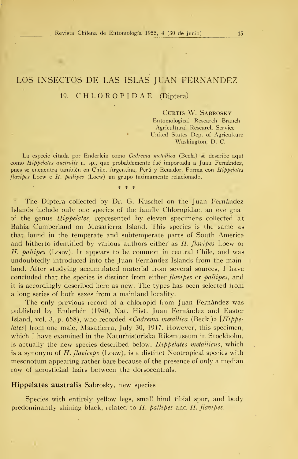## LOS INSECTOS DE LAS ISLAS JUAN FERNANDEZ 19. C H L O R O P <sup>I</sup> D A E (Díptera)

CURTIS W. SABROSKY

Entomological Research Branch Agricultural Research Service United States Dep. of Agriculture Washington, D. C.

La especie citada por Enderlein como Cadrema metallica (Beck.) se describe aquí como Hippelates australis n. sp., que probablemente fué importada a Juan Fernández, pues se encuentra también en Chile, Argentina, Perú y Ecuador. Forma con Hippelates  $flavipes$  Loew e  $H.$   $ballipes$  (Loew) un grupo intimamente relacionado.

\* \* \*

 $\sim$ The Díptera collected by Dr. G. Kuschel on the Juan Fernández Islands include only one species of the family Chloropidae, an eye gnat of the genus Hippelates, represented by eleven specimens collected at Bahía Cumberland on Masatierra Island. This species is the same as that found in the temperate and subtemperate parts of South America and hitherto identified by various authors either as H. flavipes Loew or H. pallipes (Loew). It appears to be common in central Chile, and was undoubtedly introduced into the Juan Fernández Islands from the mainland. After studying accumulated material from several sources, <sup>I</sup> have concluded that the species is distinct from either *flavipes* or *pallipes*, and it is accordingly described here as new. The types has been selected from a long series of both sexes from a mainland locality.

The only previous record of a chloropid from Juan Fernández was published by Enderlein (1940, Nat. Hist. Juan Fernández and Easter Island, vol. 3, p. 658), who recorded «Cadrema metallica (Beck.)» [Hippelates] from one male, Masatierra, July 30, 1917. However, this specimen, which <sup>I</sup> have examined in the Naturhistoriska Riksmuseum in Stockholm, is actually the new species described below. Hippelates metallicus, which is a synonym of  $H$ . flaviceps (Loew), is a distinct Neotropical species with mesonotum appearing rather bare because of the presence of only a median row of acrostichal hairs between the dorsocentrals.

## Hippelates australis Sabrosky, new species

Species with entirely yellow legs, small hind tibial spur, and body predominantly shining black, related to  $H$ . pallipes and  $H$ . flavipes.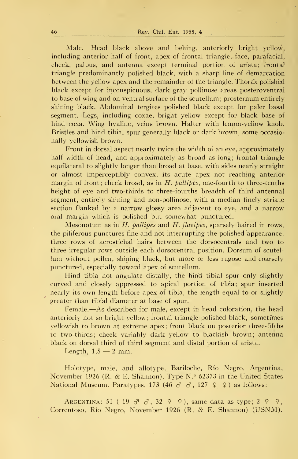Male.—Head black above and behing, anteriorly bright yellow, including anterior half of front, apex of frontal triangle,. face, parafacial, cheek, palpus, and antenna except terminal portion of arista; frontal triangle predominantly polished black, with a sharp line of demarcation between the yellow apex and the remainder of the triangle. Thorax polished black except for inconspicuous, dark gray pollinose areas posteroventral to base of wing and on ventral surface of the scutellum; prosternum entirely shining black. Abdominal tergites polished black except for paler basal segment. Legs, including coxae, bright yellow except for black base of hind coxa. Wing hyaline, veins brown. Halter with lemon-yellow knob. Bristles and hind tibial spur generally black or dark brown, some occasionally yellowish brown.

Front in dorsal aspect nearly twice the width of an eye, approximately half width of head, and approximately as broad as long; frontal triangle equilateral to slightly longer than broad at base, with sides nearly straight or almost imperceptibly convex, its acute apex not reaching anterior margin of front; cheek broad, as in  $H$ . pallipes, one-fourth to three-tenths height of eye and two-thirds to three-fourths breadth of third antennal segment, entirely shining and non-pollinose, with a median finely striate section flanked by a narrow glossy area adjacent to eye, and a narrow oral margin which is polished but somewhat punctured.

Mesonotum as in  $H$ , *ballipes* and  $H$ , *flavipes*, sparsely haired in rows, the piliferous punctures fine and not interrupting the polished appearance, three rows of acrostichal hairs between the dorsocentrals and two to three irregular rows outside each dorsocentral position. Dorsum of scutel lum without pollen, shining black, but more or less rugose and coarsely punctured, especially toward apex of scutellum.

Hind tibia not angulate distally, the hind tibial spur only slightly curved and closely appressed to apical portion of tibia; spur inserted nearly its own length before apex of tibia, the length equal to or slightly greater than tibial diameter at base of spur.

Female.—As described for male, except in head coloration, the head anteriorly not so bright yellow; frontal triangle polished black, sometimes yellowish to brown at extreme apex; front black on posterior three-fifths to two-thirds; cheek variably dark yellow to blackish brown; antenna black on dorsal third of third segment and distal portion of arista.

Length,  $1,5 - 2$  mm.

Holotype, male, and allotype, Bariloche, Río Negro, Argentina, November <sup>1926</sup> (R. & E. Shannon). Type N.° 62373 in the United States National Museum. Paratypes, 173 (46  $\sigma$ <sup>1</sup>  $\sigma$ <sup>1</sup>, 127  $\varphi$   $\varphi$ ) as follows:

ARGENTINA: 51 (19  $\sigma$ <sup>1</sup>  $\sigma$ <sup>1</sup>, 32  $\varphi$   $\varphi$ ), same data as type; 2  $\varphi$   $\varphi$ , Correntoso, Río Negro, November <sup>1926</sup> (R. & E. Shannon) (USNM).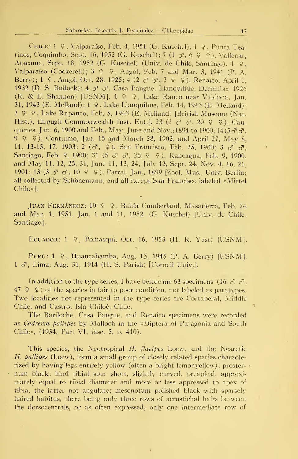## Sabrosky: Insectos J. Fernández - Chloropidae 47

Chile: <sup>1</sup> 9 , Valparaíso, Feb. 4, 1951 (G. Kuschel), <sup>1</sup>\$ , Punta Teatinos, Coquimbo, Sept. 16, 1952 (G. Kuschel); 7 (1  $\sigma$ , 6 9 9), Vallenar, Atacama, Sept. 18, <sup>1952</sup> (G. Kuschel) (Univ. de Chile, Santiago). <sup>1</sup> 9, Valparaíso (Cockerell);  $3 \varphi \varphi$ , Angol, Feb. 7 and Mar. 3, 1941 (P. A. Berry); 1  $9$ , Angol, Oct. 28, 1925; 4 (2  $\sigma$   $\sigma$ , 2  $9$  9), Renaico, April 1, 1932 (D. S. Bullock);  $4 \sigma \sigma$ , Casa Pangue, Llanquihue, December 1926 (R. & E. Shannon) [USNM].  $4 \varphi \varphi$ , Lake Ranco near Valdivia, Jan. 31, 1943 (E. Melland); <sup>1</sup> 9 , Lake Llanquihue, Feb. 14, 1943 (E. Melland) <sup>2</sup> 9 9, Lake Rupanco, Feb. 5, 1943 (E. Melland) [British Museum (Nat. Hist.), through Commonwealth Inst. Ent. 23 (3  $\sigma$   $\sigma$ , 20  $\varphi$   $\varphi$ ), Cauquenes, Jan. 6, 1900 and Feb., May, June and Nov.; 1894 to 1900; 14 $(5\sigma \sigma)$ . <sup>9</sup> <sup>9</sup> 9), Contulmo, Jan. <sup>15</sup> and March 28, 1902, and April 27, May 8, 11, 13-15, 17, 1903; 2 ( $\sigma$ <sup>7</sup>,  $\sigma$ ), San Francisco, Féb. 25, 1900; 3  $\sigma$ <sup>7</sup>  $\sigma$ <sup>7</sup>, Santiago, Feb. 9, 1900; 31 (5  $\sigma$   $\sigma$ , 26  $\varphi$   $\varphi$ ), Rancagua, Feb. 9, 1900, and May 11, 12, 25, 31, June 11, 13, 24, July 12, Sept. 24, Nov. 4, 16, 21, 1901; 13 (3  $\sigma$   $\sigma$ , 10  $\varphi$   $\varphi$ ), Parral, Jan., 1899 [Zool. Mus., Univ. Berlin; all collected by Schönemann, and all except San Francisco labeled «Mittel Chile»].

Juan Fernández: 10 9 9 , Bahía Cumberland, Masatierra, Feb. 24 and Mar. 1, 1951, Jan. <sup>1</sup> and 11, 1952 (G. Kuschel) [Univ. de Chile, Santiago].

Ecuador: <sup>1</sup> 9, Pomasqui, Oct. 16, 1953 (H. R. Yust) [USNM].

Perú: <sup>1</sup> 9, Huancabamba, Aug. 13, 1945 (P. A. Berry) [USNM]. <sup>1</sup> cf , Lima, Aug. 31, 1914 (H. S. Parish) [Cornell Univ.].

In addition to the type series, I have before me 63 specimens (16  $\sigma^{\dagger}$   $\sigma^{\dagger}$ ,  $47$   $9$   $9$ ) of the species in fair to poor condition, not labeled as paratypes. Two localities not represented in the type series are Cortaberal, Middle Chile, and Castro, Isla Chiloé, Chile.

The Bariloche, Casa Pangue, and Renaico specimens were recorded as Cadrema pallipes by Malloch in the «Díptera of Patagonia and South Chile», (1934, Part VI, fase. 5, p. 410).

This species, the Neotropical  $H$ . flavipes Loew, and the Nearctic H. pallipes (Loew), form a small group of closely related species characterized by having legs entirely yellow (often a bright lemonyellow) ; prosternum black; hind tibial spur short, slightly curved, preapical, approximately equal to tibial diameter and more or less appressed to apex of tibia, the latter not angulate; mesonotum polished black with sparsely haired habitus, there being only three rows of acrostichal hairs between the dorsocentrals, or as often expressed, only one intermedíate row of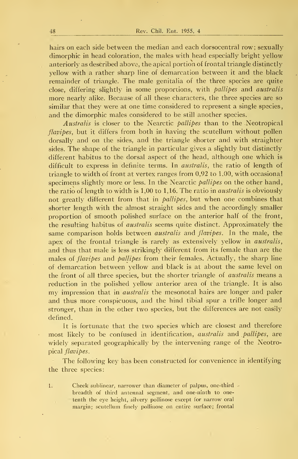hairs on each side between the median and each dorsocentral row; sexually dimorphic in head coloration, the males with head especially bright yellow anteriorly as described above, the apical portion of frontal triangle distinctly yellow with a rather sharp line of demarcation between it and the black remainder of triangle. The male genitalia of the three species are quite close, differing slightly in some proportions, with pallipes and australis more nearly alike. Because of all these characters, the three species are so similar that they were at one time considered to represent a single species, and the dimorphic males considered to be still another species.

Australis is closer to the Nearctic pallipes than to the .Neotropical flavipes, but it differs from both in having the scutellum without pollen dorsally and on the sides, and the triangle shorter and with straighter sides. The shape of the triangle in particular gives a slightly but distinctly different habitus to the dorsal aspect of the head, although one which is difficult to express in definite terms. In australis, the ratio of length of triangle to width of front at vertex ranges from 0,92 to 1.00, with occasional specimens slightly more or less. In the Nearctic *pallipes* on the other hand, the ratio of length to width is 1,00 to 1,16. The ratio in australis is obviously not greatly different from that in *pallipes*, but when one combines that shorter length with the almost straight sides and the accordingly smaller proportion of smooth polished surface on the anterior half of the front, the resulting habitus of australis seems quite distinct. Approximately the same comparison holds between *australis* and *flavipes*. In the male, the apex of the frontal triangle is rarely as extensively yellow in australis, and thus that male is less strikingly different from its female than are the males of *flavipes* and *pallipes* from their females. Actually, the sharp line of demarcation between yellow and black is at about the same level on the front of all three species, but the shorter triangle of *australis* means a reduction in the polished yellow anterior area of the triangle. It is also my impression that in *australis* the mesonotal hairs are longer and paler and thus more conspicuous, and the hind tibial spur a trifle longer and stronger, than in the other two species, but the differences are not easily defined.

It is fortunate that the two species which are closest and therefore most likely to be confused in identification, *australis* and *pallipes*, are widely separated geographically by the intervening range of the Neotropical flavipes.

The following key has been constructed for convenience in identifying the three species:

1. Cheek sublinear, narrower than diameter of palpus, one-third breadth of third antennal segment, and one-ninth to one tenth the eye height, silvery pollinose except for narrow oral margin: scutellum finely pollinose on entire surface; frontal